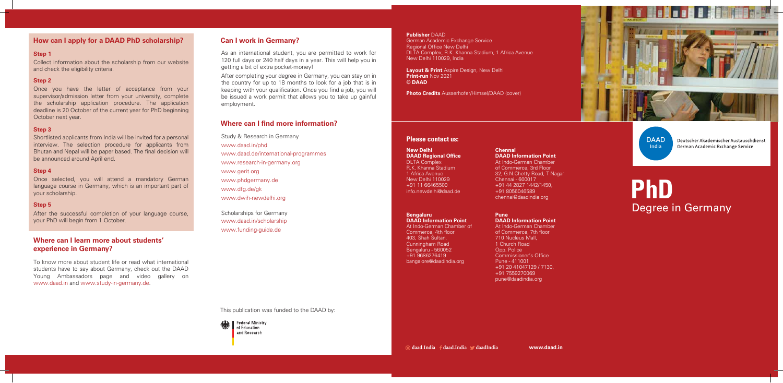Study & Research in Germany www.daad.in/phd www.daad.de/international-programmes www.research-in-germany.org www.gerit.org www.phdgermany.de www.dfg.de/gk www.dwih-newdelhi.org

Scholarships for Germany www.daad.in/scholarship www.funding-guide.de

**www.daad.in**

This publication was funded to the DAAD by:



**daad.India daad.India daadIndia**



**DAAD** India

Deutscher Akademischer Austauschdienst German Academic Exchange Service

### **Please contact us:**

### **Step 1**

Collect information about the scholarship from our website and check the eligibility criteria.

### **Step 2**

Once you have the letter of acceptance from your supervisor/admission letter from your university, complete the scholarship application procedure. The application deadline is 20 October of the current year for PhD beginning October next year.

### **Step 3**

Shortlisted applicants from India will be invited for a personal interview. The selection procedure for applicants from Bhutan and Nepal will be paper based. The final decision will be announced around April end.

### **Step 4**

Once selected, you will attend a mandatory German language course in Germany, which is an important part of your scholarship.

### **Step 5**

After the successful completion of your language course, your PhD will begin from 1 October.

# **PhD** Degree in Germany

To know more about student life or read what international students have to say about Germany, check out the DAAD Young Ambassadors page and video gallery on www.daad.in and www.study-in-germany.de.

As an international student, you are permitted to work for 120 full days or 240 half days in a year. This will help you in getting a bit of extra pocket-money!

After completing your degree in Germany, you can stay on in the country for up to 18 months to look for a job that is in keeping with your qualification. Once you find a job, you will be issued a work permit that allows you to take up gainful employment.

### **Publisher** DAAD

German Academic Exchange Service **Regional Office New Delhi** DLTA Complex, R.K. Khanna Stadium, 1 Africa Avenue New Delhi 110029, India

**Layout & Print** Aspire Design, New Delhi **Print-run** Nov 2021 **© DAAD**

**Photo Credits** Ausserhofer/Himsel/DAAD (cover)

### **How can I apply for a DAAD PhD scholarship?**

### **Where can I learn more about students' experience in Germany?**

### **Can I work in Germany?**

### **Where can I find more information?**

### **New Delhi DAAD Regional Office**

DLTA Complex R.K. Khanna Stadium 1 Africa Avenue New Delhi 110029 +91 11 66465500 info.newdelhi@daad.de

### **Bengaluru**

**DAAD Information Point** At Indo-German Chamber of Commerce, 4th floor 403, Shah Sultan, Cunningham Road Bengaluru - 560052 +91 9686276419 bangalore@daadindia.org

### **Chennai DAAD Information Point**

At Indo-German Chamber of Commerce, 3rd Floor 32, G.N.Chetty Road, T Nagar Chennai - 600017 +91 44 2827 1442/1450, +91 8056046589 chennai@daadindia.org

**Pune DAAD Information Point** At Indo-German Chamber of Commerce, 7th floor 710 Nucleus Mall, 1 Church Road Opp. Police Commissioner's Office Pune - 411001 +91 20 41047129 / 7130, +91 7559270069 pune@daadindia.org